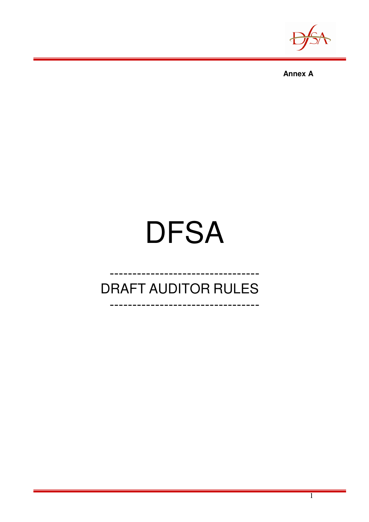



# **DFSA**

# **DRAFT AUDITOR RULES**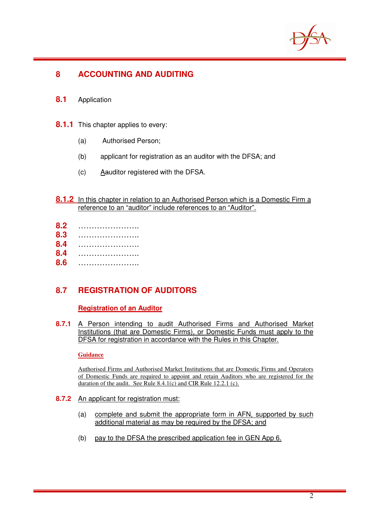

# **8 ACCOUNTING AND AUDITING**

- **8.1** Application
- **8.1.1** This chapter applies to every:
	- (a) Authorised Person;
	- (b) applicant for registration as an auditor with the DFSA; and
	- (c) Aauditor registered with the DFSA.
- **8.1.2** In this chapter in relation to an Authorised Person which is a Domestic Firm a reference to an "auditor" include references to an "Auditor".
- **8.2** …………………..
- **8.3** …………………..
- **8.4** …………………..
- **8.4** …………………..
- **8.6** …………………..

# **8.7 REGISTRATION OF AUDITORS**

# **Registration of an Auditor**

**8.7.1** A Person intending to audit Authorised Firms and Authorised Market Institutions (that are Domestic Firms), or Domestic Funds must apply to the DFSA for registration in accordance with the Rules in this Chapter.

#### **Guidance**

Authorised Firms and Authorised Market Institutions that are Domestic Firms and Operators of Domestic Funds are required to appoint and retain Auditors who are registered for the duration of the audit. See Rule 8.4.1(c) and CIR Rule 12.2.1 (c).

- **8.7.2** An applicant for registration must:
	- (a) complete and submit the appropriate form in AFN, supported by such additional material as may be required by the DFSA; and
	- (b) pay to the DFSA the prescribed application fee in GEN App 6.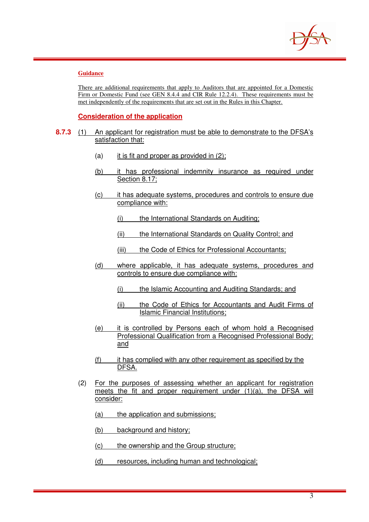

#### **Guidance**

There are additional requirements that apply to Auditors that are appointed for a Domestic Firm or Domestic Fund (see GEN 8.4.4 and CIR Rule 12.2.4). These requirements must be met independently of the requirements that are set out in the Rules in this Chapter.

#### **Consideration of the application**

- **8.7.3** (1) An applicant for registration must be able to demonstrate to the DFSA's satisfaction that:
	- $(a)$  it is fit and proper as provided in  $(2)$ ;
	- (b) it has professional indemnity insurance as required under Section 8.17;
	- (c) it has adequate systems, procedures and controls to ensure due compliance with:
		- (i) the International Standards on Auditing;
		- (ii) the International Standards on Quality Control; and
		- (iii) the Code of Ethics for Professional Accountants;
	- (d) where applicable, it has adequate systems, procedures and controls to ensure due compliance with:
		- (i) the Islamic Accounting and Auditing Standards; and
		- (ii) the Code of Ethics for Accountants and Audit Firms of Islamic Financial Institutions;
	- (e) it is controlled by Persons each of whom hold a Recognised Professional Qualification from a Recognised Professional Body; and
	- (f) it has complied with any other requirement as specified by the DFSA.
	- (2) For the purposes of assessing whether an applicant for registration meets the fit and proper requirement under (1)(a), the DFSA will consider:
		- (a) the application and submissions;
		- (b) background and history;
		- (c) the ownership and the Group structure;
		- (d) resources, including human and technological;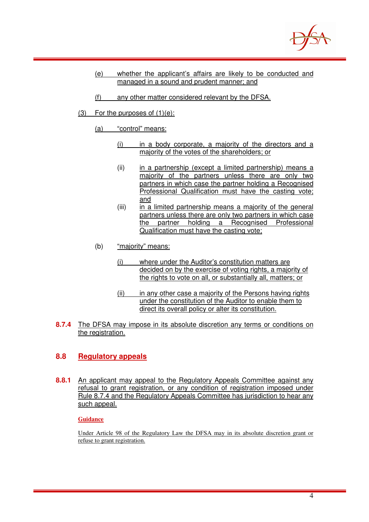

- (e) whether the applicant's affairs are likely to be conducted and managed in a sound and prudent manner; and
- (f) any other matter considered relevant by the DFSA.
- $(3)$  For the purposes of  $(1)(e)$ :
	- (a) "control" means:
		- (i) in a body corporate, a majority of the directors and a majority of the votes of the shareholders; or
		- (ii) in a partnership (except a limited partnership) means a majority of the partners unless there are only two partners in which case the partner holding a Recognised Professional Qualification must have the casting vote; and
		- (iii) in a limited partnership means a majority of the general partners unless there are only two partners in which case the partner holding a Recognised Professional Qualification must have the casting vote;
	- (b) "majority" means:
		- (i) where under the Auditor's constitution matters are decided on by the exercise of voting rights, a majority of the rights to vote on all, or substantially all, matters; or
		- (ii) in any other case a majority of the Persons having rights under the constitution of the Auditor to enable them to direct its overall policy or alter its constitution.
- **8.7.4** The DFSA may impose in its absolute discretion any terms or conditions on the registration.

### **8.8 Regulatory appeals**

**8.8.1** An applicant may appeal to the Regulatory Appeals Committee against any refusal to grant registration, or any condition of registration imposed under Rule 8.7.4 and the Regulatory Appeals Committee has jurisdiction to hear any such appeal.

#### **Guidance**

Under Article 98 of the Regulatory Law the DFSA may in its absolute discretion grant or refuse to grant registration.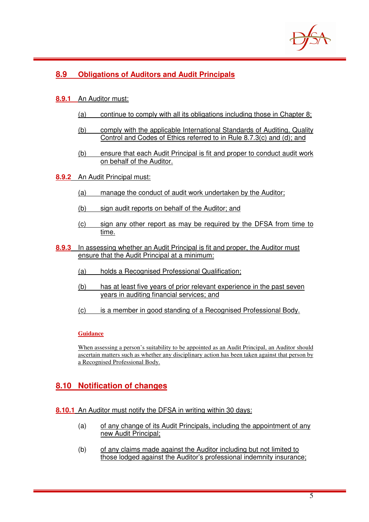

# **8.9 Obligations of Auditors and Audit Principals**

#### **8.9.1** An Auditor must:

- (a) continue to comply with all its obligations including those in Chapter 8;
- (b) comply with the applicable International Standards of Auditing, Quality Control and Codes of Ethics referred to in Rule 8.7.3(c) and (d); and
- (b) ensure that each Audit Principal is fit and proper to conduct audit work on behalf of the Auditor.
- **8.9.2** An Audit Principal must:
	- (a) manage the conduct of audit work undertaken by the Auditor;
	- (b) sign audit reports on behalf of the Auditor; and
	- (c) sign any other report as may be required by the DFSA from time to time.
- **8.9.3** In assessing whether an Audit Principal is fit and proper, the Auditor must ensure that the Audit Principal at a minimum:
	- (a) holds a Recognised Professional Qualification;
	- (b) has at least five years of prior relevant experience in the past seven years in auditing financial services; and
	- (c) is a member in good standing of a Recognised Professional Body.

#### **Guidance**

When assessing a person's suitability to be appointed as an Audit Principal, an Auditor should ascertain matters such as whether any disciplinary action has been taken against that person by a Recognised Professional Body.

# **8.10 Notification of changes**

#### **8.10.1** An Auditor must notify the DFSA in writing within 30 days:

- (a) of any change of its Audit Principals, including the appointment of any new Audit Principal;
- (b) of any claims made against the Auditor including but not limited to those lodged against the Auditor's professional indemnity insurance;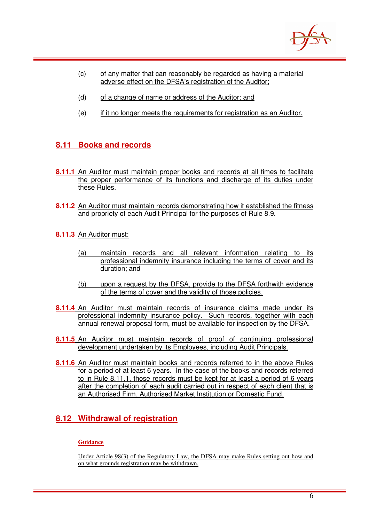

- (c) of any matter that can reasonably be regarded as having a material adverse effect on the DFSA's registration of the Auditor;
- (d) of a change of name or address of the Auditor; and
- (e) if it no longer meets the requirements for registration as an Auditor.

# **8.11 Books and records**

- **8.11.1** An Auditor must maintain proper books and records at all times to facilitate the proper performance of its functions and discharge of its duties under these Rules.
- **8.11.2** An Auditor must maintain records demonstrating how it established the fitness and propriety of each Audit Principal for the purposes of Rule 8.9.
- **8.11.3** An Auditor must:
	- (a) maintain records and all relevant information relating to its professional indemnity insurance including the terms of cover and its duration; and
	- (b) upon a request by the DFSA, provide to the DFSA forthwith evidence of the terms of cover and the validity of those policies.
- **8.11.4** An Auditor must maintain records of insurance claims made under its professional indemnity insurance policy. Such records, together with each annual renewal proposal form, must be available for inspection by the DFSA.
- **8.11.5** An Auditor must maintain records of proof of continuing professional development undertaken by its Employees, including Audit Principals.
- **8.11.6** An Auditor must maintain books and records referred to in the above Rules for a period of at least 6 years. In the case of the books and records referred to in Rule 8.11.1, those records must be kept for at least a period of 6 years after the completion of each audit carried out in respect of each client that is an Authorised Firm, Authorised Market Institution or Domestic Fund.

# **8.12 Withdrawal of registration**

#### **Guidance**

Under Article 98(3) of the Regulatory Law, the DFSA may make Rules setting out how and on what grounds registration may be withdrawn.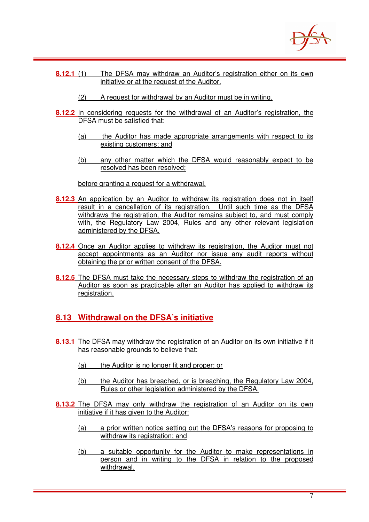

- **8.12.1** (1) The DFSA may withdraw an Auditor's registration either on its own initiative or at the request of the Auditor.
	- (2) A request for withdrawal by an Auditor must be in writing.
- **8.12.2** In considering requests for the withdrawal of an Auditor's registration, the DFSA must be satisfied that:
	- (a) the Auditor has made appropriate arrangements with respect to its existing customers; and
	- (b) any other matter which the DFSA would reasonably expect to be resolved has been resolved;

before granting a request for a withdrawal.

- **8.12.3** An application by an Auditor to withdraw its registration does not in itself result in a cancellation of its registration. Until such time as the DFSA withdraws the registration, the Auditor remains subject to, and must comply with, the Regulatory Law 2004, Rules and any other relevant legislation administered by the DFSA.
- **8.12.4** Once an Auditor applies to withdraw its registration, the Auditor must not accept appointments as an Auditor nor issue any audit reports without obtaining the prior written consent of the DFSA.
- **8.12.5** The DFSA must take the necessary steps to withdraw the registration of an Auditor as soon as practicable after an Auditor has applied to withdraw its registration.

# **8.13 Withdrawal on the DFSA's initiative**

- **8.13.1** The DFSA may withdraw the registration of an Auditor on its own initiative if it has reasonable grounds to believe that:
	- (a) the Auditor is no longer fit and proper; or
	- (b) the Auditor has breached, or is breaching, the Regulatory Law 2004, Rules or other legislation administered by the DFSA.
- **8.13.2** The DFSA may only withdraw the registration of an Auditor on its own initiative if it has given to the Auditor:
	- (a) a prior written notice setting out the DFSA's reasons for proposing to withdraw its registration; and
	- (b) a suitable opportunity for the Auditor to make representations in person and in writing to the DFSA in relation to the proposed withdrawal.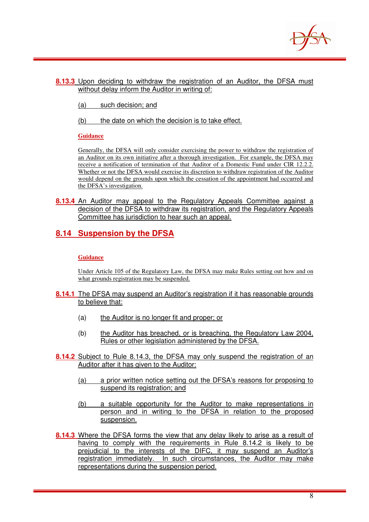

#### **8.13.3** Upon deciding to withdraw the registration of an Auditor, the DFSA must without delay inform the Auditor in writing of:

- (a) such decision; and
- (b) the date on which the decision is to take effect.

#### **Guidance**

Generally, the DFSA will only consider exercising the power to withdraw the registration of an Auditor on its own initiative after a thorough investigation. For example, the DFSA may receive a notification of termination of that Auditor of a Domestic Fund under CIR 12.2.2. Whether or not the DFSA would exercise its discretion to withdraw registration of the Auditor would depend on the grounds upon which the cessation of the appointment had occurred and the DFSA's investigation.

**8.13.4** An Auditor may appeal to the Regulatory Appeals Committee against a decision of the DFSA to withdraw its registration, and the Regulatory Appeals Committee has jurisdiction to hear such an appeal.

# **8.14 Suspension by the DFSA**

#### **Guidance**

Under Article 105 of the Regulatory Law, the DFSA may make Rules setting out how and on what grounds registration may be suspended.

- **8.14.1** The DFSA may suspend an Auditor's registration if it has reasonable grounds to believe that:
	- (a) the Auditor is no longer fit and proper; or
	- (b) the Auditor has breached, or is breaching, the Regulatory Law 2004, Rules or other legislation administered by the DFSA.
- **8.14.2** Subject to Rule 8.14.3, the DFSA may only suspend the registration of an Auditor after it has given to the Auditor:
	- (a) a prior written notice setting out the DFSA's reasons for proposing to suspend its registration; and
	- (b) a suitable opportunity for the Auditor to make representations in person and in writing to the DFSA in relation to the proposed suspension.
- **8.14.3** Where the DFSA forms the view that any delay likely to arise as a result of having to comply with the requirements in Rule 8.14.2 is likely to be prejudicial to the interests of the DIFC, it may suspend an Auditor's registration immediately. In such circumstances, the Auditor may make representations during the suspension period.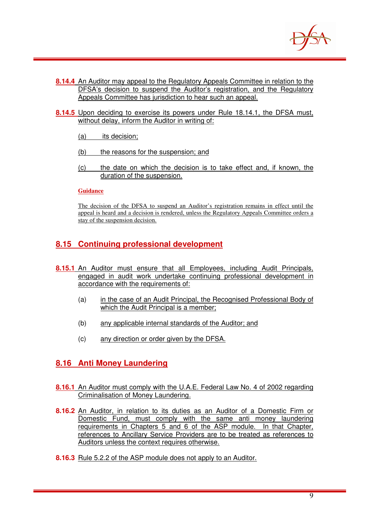

- **8.14.4** An Auditor may appeal to the Regulatory Appeals Committee in relation to the DFSA's decision to suspend the Auditor's registration, and the Regulatory Appeals Committee has jurisdiction to hear such an appeal.
- **8.14.5** Upon deciding to exercise its powers under Rule 18.14.1, the DFSA must, without delay, inform the Auditor in writing of:
	- (a) its decision:
	- (b) the reasons for the suspension; and
	- (c) the date on which the decision is to take effect and, if known, the duration of the suspension.

#### **Guidance**

The decision of the DFSA to suspend an Auditor's registration remains in effect until the appeal is heard and a decision is rendered, unless the Regulatory Appeals Committee orders a stay of the suspension decision.

# **8.15 Continuing professional development**

- **8.15.1** An Auditor must ensure that all Employees, including Audit Principals, engaged in audit work undertake continuing professional development in accordance with the requirements of:
	- (a) in the case of an Audit Principal, the Recognised Professional Body of which the Audit Principal is a member;
	- (b) any applicable internal standards of the Auditor; and
	- (c) any direction or order given by the DFSA.

# **8.16 Anti Money Laundering**

- **8.16.1** An Auditor must comply with the U.A.E. Federal Law No. 4 of 2002 regarding Criminalisation of Money Laundering.
- **8.16.2** An Auditor, in relation to its duties as an Auditor of a Domestic Firm or Domestic Fund, must comply with the same anti money laundering requirements in Chapters 5 and 6 of the ASP module. In that Chapter, references to Ancillary Service Providers are to be treated as references to Auditors unless the context requires otherwise.
- **8.16.3** Rule 5.2.2 of the ASP module does not apply to an Auditor.